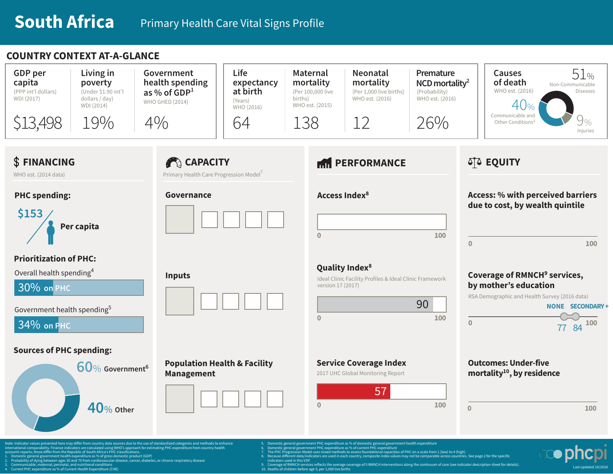## **COUNTRY CONTEXT AT-A-GLANCE**



- international comparability. Finance indicators are calculated using WHO's approach for estimating PHC expenditure from country health accounts reports; these differ from the Republic of South Africa's PHC classifications.
- ture as % of gross domestic product (GDP)
- 2. Probability of dying between ages 30 and 70 from cardiovascular disease, cancer, diabetes, or chronic respiratory disease 3. Communicable, maternal, perinatal, and nutritional conditions
- 1. Current Health Expenditure (CHE)
- -
	-
	-
- indicators used in this VSP.<br>9. Coverage of RMNCH services reflects the average coverage of 5 RMNCH interventions along the continuum of care (see indicator description sheet for details).<br>10. Deaths of children before age

7. The PHC Progression Model uses mixed methods to assess foundational capacities of PHC on a scale from 1 (low) to 4 (high)<br>8. Because different data/indicators are used in each country, composite index values may not

- 
- 

Last updated 10/2018

nditure as % of current PHC expenditure